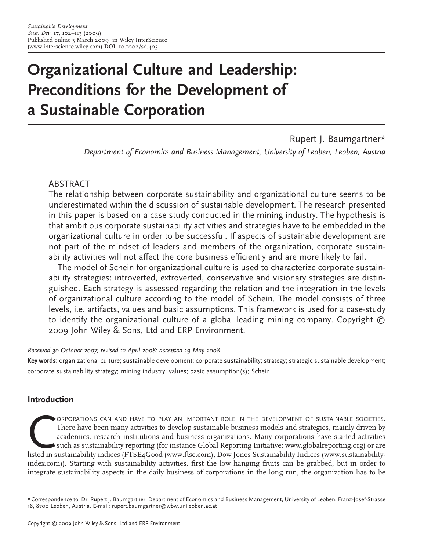# **Organizational Culture and Leadership: Preconditions for the Development of a Sustainable Corporation**

Rupert J. Baumgartner\* *Department of Economics and Business Management, University of Leoben, Leoben, Austria*

# ABSTRACT

The relationship between corporate sustainability and organizational culture seems to be underestimated within the discussion of sustainable development. The research presented in this paper is based on a case study conducted in the mining industry. The hypothesis is that ambitious corporate sustainability activities and strategies have to be embedded in the organizational culture in order to be successful. If aspects of sustainable development are not part of the mindset of leaders and members of the organization, corporate sustainability activities will not affect the core business efficiently and are more likely to fail.

The model of Schein for organizational culture is used to characterize corporate sustainability strategies: introverted, extroverted, conservative and visionary strategies are distinguished. Each strategy is assessed regarding the relation and the integration in the levels of organizational culture according to the model of Schein. The model consists of three levels, i.e. artifacts, values and basic assumptions. This framework is used for a case-study to identify the organizational culture of a global leading mining company. Copyright © 2009 John Wiley & Sons, Ltd and ERP Environment.

*Received 30 October 2007; revised 12 April 2008; accepted 19 May 2008*

**Key words:** organizational culture; sustainable development; corporate sustainability; strategy; strategic sustainable development; corporate sustainability strategy; mining industry; values; basic assumption(s); Schein

# **Introduction**

ORPORATIONS CAN AND HAVE TO PLAY AN IMPORTANT ROLE IN THE DEVELOPMENT OF SUSTAINABLE SOCIETIES.<br>
There have been many activities to develop sustainable business models and strategies, mainly driven by<br>
academics, research There have been many activities to develop sustainable business models and strategies, mainly driven by academics, research institutions and business organizations. Many corporations have started activities such as sustainability reporting (for instance Global Reporting Initiative: www.globalreporting.org) or are index.com)). Starting with sustainability activities, first the low hanging fruits can be grabbed, but in order to integrate sustainability aspects in the daily business of corporations in the long run, the organization has to be

<sup>\*</sup> Correspondence to: Dr. Rupert J. Baumgartner, Department of Economics and Business Management, University of Leoben, Franz-Josef-Strasse 18, 8700 Leoben, Austria. E-mail: rupert.baumgartner@wbw.unileoben.ac.at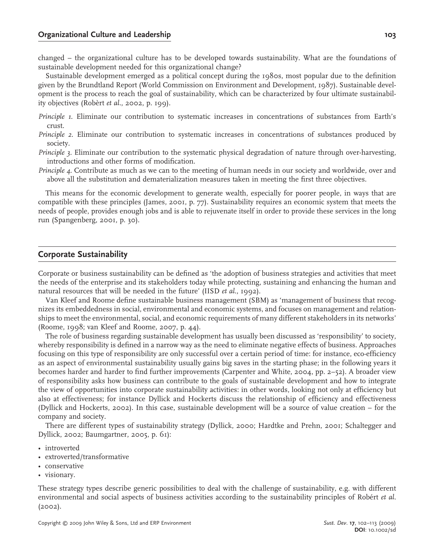changed – the organizational culture has to be developed towards sustainability. What are the foundations of sustainable development needed for this organizational change?

Sustainable development emerged as a political concept during the 1980s, most popular due to the definition given by the Brundtland Report (World Commission on Environment and Development, 1987). Sustainable development is the process to reach the goal of sustainability, which can be characterized by four ultimate sustainability objectives (Robèrt *et al.*, 2002, p. 199).

- *Principle 1.* Eliminate our contribution to systematic increases in concentrations of substances from Earth's crust.
- *Principle 2.* Eliminate our contribution to systematic increases in concentrations of substances produced by society.
- *Principle 3.* Eliminate our contribution to the systematic physical degradation of nature through over-harvesting, introductions and other forms of modification.
- *Principle 4.* Contribute as much as we can to the meeting of human needs in our society and worldwide, over and above all the substitution and dematerialization measures taken in meeting the first three objectives.

This means for the economic development to generate wealth, especially for poorer people, in ways that are compatible with these principles (James, 2001, p. 77). Sustainability requires an economic system that meets the needs of people, provides enough jobs and is able to rejuvenate itself in order to provide these services in the long run (Spangenberg, 2001, p. 30).

# **Corporate Sustainability**

Corporate or business sustainability can be defined as 'the adoption of business strategies and activities that meet the needs of the enterprise and its stakeholders today while protecting, sustaining and enhancing the human and natural resources that will be needed in the future' (IISD *et al.*, 1992).

Van Kleef and Roome define sustainable business management (SBM) as 'management of business that recognizes its embeddedness in social, environmental and economic systems, and focuses on management and relationships to meet the environmental, social, and economic requirements of many different stakeholders in its networks' (Roome, 1998; van Kleef and Roome, 2007, p. 44).

The role of business regarding sustainable development has usually been discussed as 'responsibility' to society, whereby responsibility is defined in a narrow way as the need to eliminate negative effects of business. Approaches focusing on this type of responsibility are only successful over a certain period of time: for instance, eco-efficiency as an aspect of environmental sustainability usually gains big saves in the starting phase; in the following years it becomes harder and harder to find further improvements (Carpenter and White, 2004, pp. 2–52). A broader view of responsibility asks how business can contribute to the goals of sustainable development and how to integrate the view of opportunities into corporate sustainability activities: in other words, looking not only at efficiency but also at effectiveness; for instance Dyllick and Hockerts discuss the relationship of efficiency and effectiveness (Dyllick and Hockerts, 2002). In this case, sustainable development will be a source of value creation – for the company and society.

There are different types of sustainability strategy (Dyllick, 2000; Hardtke and Prehn, 2001; Schaltegger and Dyllick, 2002; Baumgartner, 2005, p. 61):

- introverted
- extroverted/transformative
- conservative
- visionary.

These strategy types describe generic possibilities to deal with the challenge of sustainability, e.g. with different environmental and social aspects of business activities according to the sustainability principles of Robért *et al.* (2002).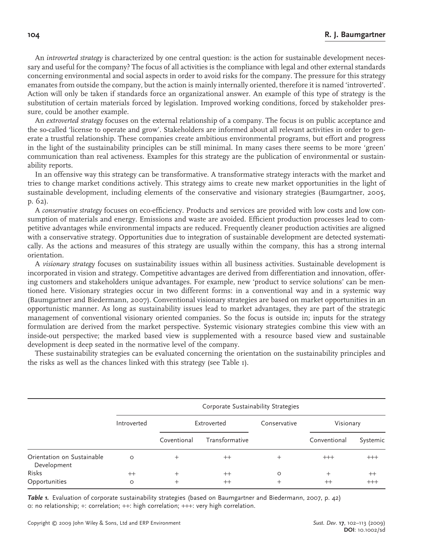An *introverted strategy* is characterized by one central question: is the action for sustainable development necessary and useful for the company? The focus of all activities is the compliance with legal and other external standards concerning environmental and social aspects in order to avoid risks for the company. The pressure for this strategy emanates from outside the company, but the action is mainly internally oriented, therefore it is named 'introverted'. Action will only be taken if standards force an organizational answer. An example of this type of strategy is the substitution of certain materials forced by legislation. Improved working conditions, forced by stakeholder pressure, could be another example.

An *extroverted strategy* focuses on the external relationship of a company. The focus is on public acceptance and the so-called 'license to operate and grow'. Stakeholders are informed about all relevant activities in order to generate a trustful relationship. These companies create ambitious environmental programs, but effort and progress in the light of the sustainability principles can be still minimal. In many cases there seems to be more 'green' communication than real activeness. Examples for this strategy are the publication of environmental or sustainability reports.

In an offensive way this strategy can be transformative. A transformative strategy interacts with the market and tries to change market conditions actively. This strategy aims to create new market opportunities in the light of sustainable development, including elements of the conservative and visionary strategies (Baumgartner, 2005, p. 62).

A *conservative strategy* focuses on eco-efficiency. Products and services are provided with low costs and low consumption of materials and energy. Emissions and waste are avoided. Efficient production processes lead to competitive advantages while environmental impacts are reduced. Frequently cleaner production activities are aligned with a conservative strategy. Opportunities due to integration of sustainable development are detected systematically. As the actions and measures of this strategy are usually within the company, this has a strong internal orientation.

A *visionary strategy* focuses on sustainability issues within all business activities. Sustainable development is incorporated in vision and strategy. Competitive advantages are derived from differentiation and innovation, offering customers and stakeholders unique advantages. For example, new 'product to service solutions' can be mentioned here. Visionary strategies occur in two different forms: in a conventional way and in a systemic way (Baumgartner and Biedermann, 2007). Conventional visionary strategies are based on market opportunities in an opportunistic manner. As long as sustainability issues lead to market advantages, they are part of the strategic management of conventional visionary oriented companies. So the focus is outside in; inputs for the strategy formulation are derived from the market perspective. Systemic visionary strategies combine this view with an inside-out perspective; the marked based view is supplemented with a resource based view and sustainable development is deep seated in the normative level of the company.

These sustainability strategies can be evaluated concerning the orientation on the sustainability principles and the risks as well as the chances linked with this strategy (see Table 1).

|                                           | Corporate Sustainability Strategies |             |                |              |              |          |  |  |  |
|-------------------------------------------|-------------------------------------|-------------|----------------|--------------|--------------|----------|--|--|--|
|                                           | Introverted                         | Extroverted |                | Conservative | Visionary    |          |  |  |  |
|                                           |                                     | Coventional | Transformative |              | Conventional | Systemic |  |  |  |
| Orientation on Sustainable<br>Development | $\circ$                             | $^{+}$      | $++$           | $^{+}$       | $++$         | $+++$    |  |  |  |
| Risks                                     | $^{++}$                             | $^{+}$      | $++$           | O            | $^+$         | $^{++}$  |  |  |  |
| Opportunities                             | O                                   |             | $^{++}$        | $^+$         | $^{++}$      | $++$     |  |  |  |

*Table 1.* Evaluation of corporate sustainability strategies (based on Baumgartner and Biedermann, 2007, p. 42) 0: no relationship; +: correlation; ++: high correlation; +++: very high correlation.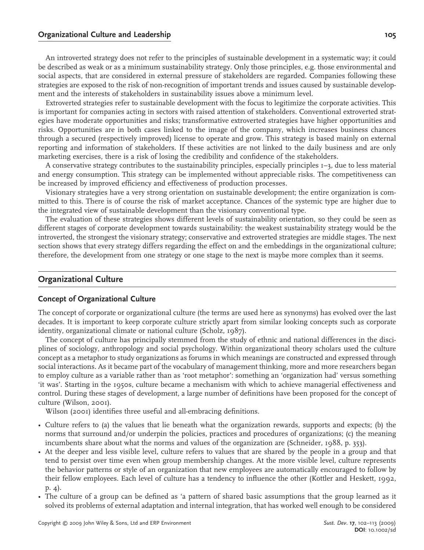An introverted strategy does not refer to the principles of sustainable development in a systematic way; it could be described as weak or as a minimum sustainability strategy. Only those principles, e.g. those environmental and social aspects, that are considered in external pressure of stakeholders are regarded. Companies following these strategies are exposed to the risk of non-recognition of important trends and issues caused by sustainable development and the interests of stakeholders in sustainability issues above a minimum level.

Extroverted strategies refer to sustainable development with the focus to legitimize the corporate activities. This is important for companies acting in sectors with raised attention of stakeholders. Conventional extroverted strategies have moderate opportunities and risks; transformative extroverted strategies have higher opportunities and risks. Opportunities are in both cases linked to the image of the company, which increases business chances through a secured (respectively improved) license to operate and grow. This strategy is based mainly on external reporting and information of stakeholders. If these activities are not linked to the daily business and are only marketing exercises, there is a risk of losing the credibility and confidence of the stakeholders.

A conservative strategy contributes to the sustainability principles, especially principles 1–3, due to less material and energy consumption. This strategy can be implemented without appreciable risks. The competitiveness can be increased by improved efficiency and effectiveness of production processes.

Visionary strategies have a very strong orientation on sustainable development; the entire organization is committed to this. There is of course the risk of market acceptance. Chances of the systemic type are higher due to the integrated view of sustainable development than the visionary conventional type.

The evaluation of these strategies shows different levels of sustainability orientation, so they could be seen as different stages of corporate development towards sustainability: the weakest sustainability strategy would be the introverted, the strongest the visionary strategy; conservative and extroverted strategies are middle stages. The next section shows that every strategy differs regarding the effect on and the embeddings in the organizational culture; therefore, the development from one strategy or one stage to the next is maybe more complex than it seems.

# **Organizational Culture**

### **Concept of Organizational Culture**

The concept of corporate or organizational culture (the terms are used here as synonyms) has evolved over the last decades. It is important to keep corporate culture strictly apart from similar looking concepts such as corporate identity, organizational climate or national culture (Scholz, 1987).

The concept of culture has principally stemmed from the study of ethnic and national differences in the disciplines of sociology, anthropology and social psychology. Within organizational theory scholars used the culture concept as a metaphor to study organizations as forums in which meanings are constructed and expressed through social interactions. As it became part of the vocabulary of management thinking, more and more researchers began to employ culture as a variable rather than as 'root metaphor': something an 'organization had' versus something 'it was'. Starting in the 1950s, culture became a mechanism with which to achieve managerial effectiveness and control. During these stages of development, a large number of definitions have been proposed for the concept of culture (Wilson, 2001).

Wilson (2001) identifies three useful and all-embracing definitions.

- Culture refers to (a) the values that lie beneath what the organization rewards, supports and expects; (b) the norms that surround and/or underpin the policies, practices and procedures of organizations; (c) the meaning incumbents share about what the norms and values of the organization are (Schneider, 1988, p. 353).
- At the deeper and less visible level, culture refers to values that are shared by the people in a group and that tend to persist over time even when group membership changes. At the more visible level, culture represents the behavior patterns or style of an organization that new employees are automatically encouraged to follow by their fellow employees. Each level of culture has a tendency to influence the other (Kottler and Heskett, 1992, p. 4).
- The culture of a group can be defined as 'a pattern of shared basic assumptions that the group learned as it solved its problems of external adaptation and internal integration, that has worked well enough to be considered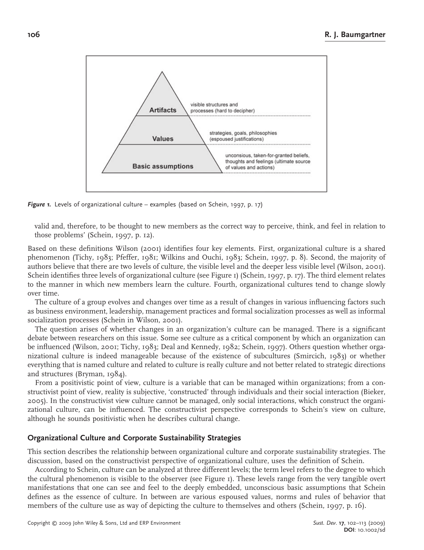

*Figure 1.* Levels of organizational culture – examples (based on Schein, 1997, p. 17)

valid and, therefore, to be thought to new members as the correct way to perceive, think, and feel in relation to those problems' (Schein, 1997, p. 12).

Based on these definitions Wilson (2001) identifies four key elements. First, organizational culture is a shared phenomenon (Tichy, 1983; Pfeffer, 1981; Wilkins and Ouchi, 1983; Schein, 1997, p. 8). Second, the majority of authors believe that there are two levels of culture, the visible level and the deeper less visible level (Wilson, 2001). Schein identifies three levels of organizational culture (see Figure 1) (Schein, 1997, p. 17). The third element relates to the manner in which new members learn the culture. Fourth, organizational cultures tend to change slowly over time.

The culture of a group evolves and changes over time as a result of changes in various influencing factors such as business environment, leadership, management practices and formal socialization processes as well as informal socialization processes (Schein in Wilson, 2001).

The question arises of whether changes in an organization's culture can be managed. There is a significant debate between researchers on this issue. Some see culture as a critical component by which an organization can be influenced (Wilson, 2001; Tichy, 1983; Deal and Kennedy, 1982; Schein, 1997). Others question whether organizational culture is indeed manageable because of the existence of subcultures (Smircich, 1983) or whether everything that is named culture and related to culture is really culture and not better related to strategic directions and structures (Bryman, 1984).

From a positivistic point of view, culture is a variable that can be managed within organizations; from a constructivist point of view, reality is subjective, 'constructed' through individuals and their social interaction (Bieker, 2005). In the constructivist view culture cannot be managed, only social interactions, which construct the organizational culture, can be influenced. The constructivist perspective corresponds to Schein's view on culture, although he sounds positivistic when he describes cultural change.

## **Organizational Culture and Corporate Sustainability Strategies**

This section describes the relationship between organizational culture and corporate sustainability strategies. The discussion, based on the constructivist perspective of organizational culture, uses the definition of Schein.

According to Schein, culture can be analyzed at three different levels; the term level refers to the degree to which the cultural phenomenon is visible to the observer (see Figure 1). These levels range from the very tangible overt manifestations that one can see and feel to the deeply embedded, unconscious basic assumptions that Schein defines as the essence of culture. In between are various espoused values, norms and rules of behavior that members of the culture use as way of depicting the culture to themselves and others (Schein, 1997, p. 16).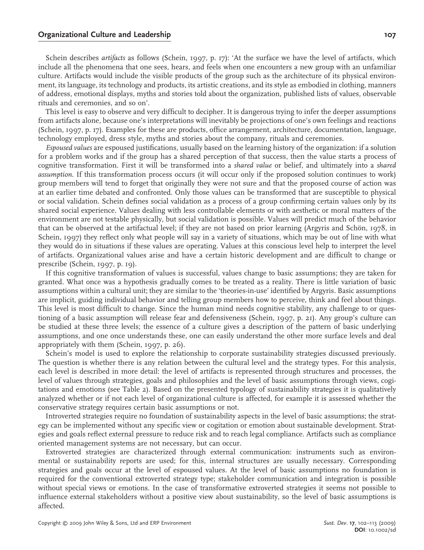Schein describes *artifacts* as follows (Schein, 1997, p. 17): 'At the surface we have the level of artifacts, which include all the phenomena that one sees, hears, and feels when one encounters a new group with an unfamiliar culture. Artifacts would include the visible products of the group such as the architecture of its physical environment, its language, its technology and products, its artistic creations, and its style as embodied in clothing, manners of address, emotional displays, myths and stories told about the organization, published lists of values, observable rituals and ceremonies, and so on'.

This level is easy to observe and very difficult to decipher. It is dangerous trying to infer the deeper assumptions from artifacts alone, because one's interpretations will inevitably be projections of one's own feelings and reactions (Schein, 1997, p. 17). Examples for these are products, office arrangement, architecture, documentation, language, technology employed, dress style, myths and stories about the company, rituals and ceremonies.

*Espoused values* are espoused justifications, usually based on the learning history of the organization: if a solution for a problem works and if the group has a shared perception of that success, then the value starts a process of cognitive transformation. First it will be transformed into a *shared value* or belief, and ultimately into a *shared assumption*. If this transformation process occurs (it will occur only if the proposed solution continues to work) group members will tend to forget that originally they were not sure and that the proposed course of action was at an earlier time debated and confronted. Only those values can be transformed that are susceptible to physical or social validation. Schein defines social validation as a process of a group confirming certain values only by its shared social experience. Values dealing with less controllable elements or with aesthetic or moral matters of the environment are not testable physically, but social validation is possible. Values will predict much of the behavior that can be observed at the artifactual level; if they are not based on prior learning (Argyris and Schön, 1978, in Schein, 1997) they reflect only what people will say in a variety of situations, which may be out of line with what they would do in situations if these values are operating. Values at this conscious level help to interpret the level of artifacts. Organizational values arise and have a certain historic development and are difficult to change or prescribe (Schein, 1997, p. 19).

If this cognitive transformation of values is successful, values change to basic assumptions; they are taken for granted. What once was a hypothesis gradually comes to be treated as a reality. There is little variation of basic assumptions within a cultural unit; they are similar to the 'theories-in-use' identified by Argyris. Basic assumptions are implicit, guiding individual behavior and telling group members how to perceive, think and feel about things. This level is most difficult to change. Since the human mind needs cognitive stability, any challenge to or questioning of a basic assumption will release fear and defensiveness (Schein, 1997, p. 21). Any group's culture can be studied at these three levels; the essence of a culture gives a description of the pattern of basic underlying assumptions, and one once understands these, one can easily understand the other more surface levels and deal appropriately with them (Schein, 1997, p. 26).

Schein's model is used to explore the relationship to corporate sustainability strategies discussed previously. The question is whether there is any relation between the cultural level and the strategy types. For this analysis, each level is described in more detail: the level of artifacts is represented through structures and processes, the level of values through strategies, goals and philosophies and the level of basic assumptions through views, cogitations and emotions (see Table 2). Based on the presented typology of sustainability strategies it is qualitatively analyzed whether or if not each level of organizational culture is affected, for example it is assessed whether the conservative strategy requires certain basic assumptions or not.

Introverted strategies require no foundation of sustainability aspects in the level of basic assumptions; the strategy can be implemented without any specific view or cogitation or emotion about sustainable development. Strategies and goals reflect external pressure to reduce risk and to reach legal compliance. Artifacts such as compliance oriented management systems are not necessary, but can occur.

Extroverted strategies are characterized through external communication: instruments such as environmental or sustainability reports are used; for this, internal structures are usually necessary. Corresponding strategies and goals occur at the level of espoused values. At the level of basic assumptions no foundation is required for the conventional extroverted strategy type; stakeholder communication and integration is possible without special views or emotions. In the case of transformative extroverted strategies it seems not possible to influence external stakeholders without a positive view about sustainability, so the level of basic assumptions is affected.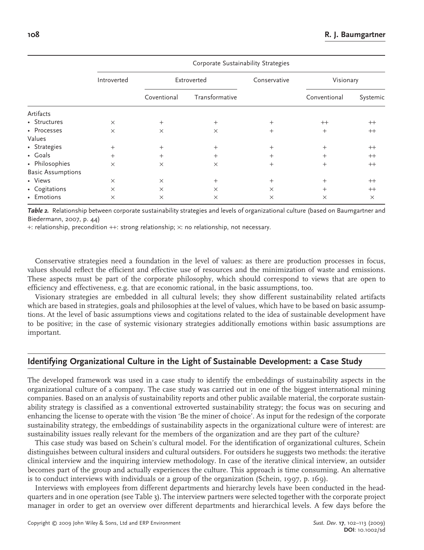|                          | Corporate Sustainability Strategies |             |                |              |              |          |  |  |  |
|--------------------------|-------------------------------------|-------------|----------------|--------------|--------------|----------|--|--|--|
|                          | Introverted                         | Extroverted |                | Conservative | Visionary    |          |  |  |  |
|                          |                                     | Coventional | Transformative |              | Conventional | Systemic |  |  |  |
| Artifacts                |                                     |             |                |              |              |          |  |  |  |
| • Structures             | $\times$                            | $^{+}$      | $^{+}$         | $^{+}$       | $++$         | $^{++}$  |  |  |  |
| • Processes              | $\times$                            | $\times$    | $\times$       | $^{+}$       | $^{+}$       | $^{++}$  |  |  |  |
| Values                   |                                     |             |                |              |              |          |  |  |  |
| • Strategies             | $^{+}$                              | $^{+}$      | $^{+}$         | $^+$         | $^{+}$       | $^{++}$  |  |  |  |
| • Goals                  | $^{+}$                              | $^{+}$      | $^{+}$         | $^{+}$       | $^{+}$       | $^{++}$  |  |  |  |
| • Philosophies           | $\times$                            | $\times$    | $\times$       | $^{+}$       | $^{+}$       | $^{++}$  |  |  |  |
| <b>Basic Assumptions</b> |                                     |             |                |              |              |          |  |  |  |
| • Views                  | $\times$                            | $\times$    | $^{+}$         | $^{+}$       | $^{+}$       | $^{++}$  |  |  |  |
| • Cogitations            | $\times$                            | $\times$    | $\times$       | $\times$     | $^{+}$       | $^{++}$  |  |  |  |
| • Emotions               | ×                                   | ×           | $\times$       | ×            | ×            | $\times$ |  |  |  |

*Table 2.* Relationship between corporate sustainability strategies and levels of organizational culture (based on Baumgartner and Biedermann, 2007, p. 44)

+: relationship, precondition ++: strong relationship; ×: no relationship, not necessary.

Conservative strategies need a foundation in the level of values: as there are production processes in focus, values should reflect the efficient and effective use of resources and the minimization of waste and emissions. These aspects must be part of the corporate philosophy, which should correspond to views that are open to efficiency and effectiveness, e.g. that are economic rational, in the basic assumptions, too.

Visionary strategies are embedded in all cultural levels; they show different sustainability related artifacts which are based in strategies, goals and philosophies at the level of values, which have to be based on basic assumptions. At the level of basic assumptions views and cogitations related to the idea of sustainable development have to be positive; in the case of systemic visionary strategies additionally emotions within basic assumptions are important.

## **Identifying Organizational Culture in the Light of Sustainable Development: a Case Study**

The developed framework was used in a case study to identify the embeddings of sustainability aspects in the organizational culture of a company. The case study was carried out in one of the biggest international mining companies. Based on an analysis of sustainability reports and other public available material, the corporate sustainability strategy is classified as a conventional extroverted sustainability strategy; the focus was on securing and enhancing the license to operate with the vision 'Be the miner of choice'. As input for the redesign of the corporate sustainability strategy, the embeddings of sustainability aspects in the organizational culture were of interest: are sustainability issues really relevant for the members of the organization and are they part of the culture?

This case study was based on Schein's cultural model. For the identification of organizational cultures, Schein distinguishes between cultural insiders and cultural outsiders. For outsiders he suggests two methods: the iterative clinical interview and the inquiring interview methodology. In case of the iterative clinical interview, an outsider becomes part of the group and actually experiences the culture. This approach is time consuming. An alternative is to conduct interviews with individuals or a group of the organization (Schein, 1997, p. 169).

Interviews with employees from different departments and hierarchy levels have been conducted in the headquarters and in one operation (see Table 3). The interview partners were selected together with the corporate project manager in order to get an overview over different departments and hierarchical levels. A few days before the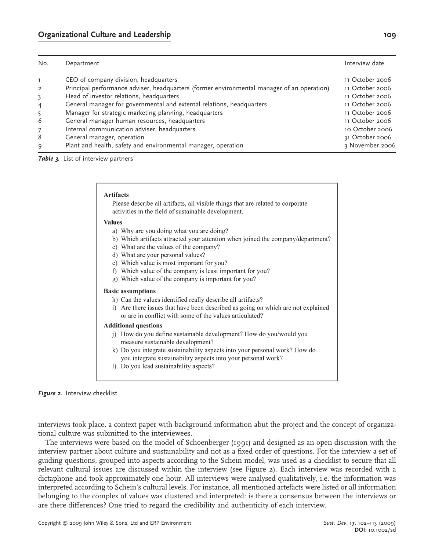| No.            | Department                                                                                 | Interview date  |
|----------------|--------------------------------------------------------------------------------------------|-----------------|
|                | CEO of company division, headquarters                                                      | 11 October 2006 |
| $\overline{2}$ | Principal performance adviser, headquarters (former environmental manager of an operation) | 11 October 2006 |
| 3              | Head of investor relations, headquarters                                                   | 11 October 2006 |
| $\overline{4}$ | General manager for governmental and external relations, headquarters                      | 11 October 2006 |
| 5              | Manager for strategic marketing planning, headquarters                                     | 11 October 2006 |
| 6              | General manager human resources, headquarters                                              | 11 October 2006 |
| $\overline{7}$ | Internal communication adviser, headquarters                                               | 10 October 2006 |
| 8              | General manager, operation                                                                 | 31 October 2006 |
| 9              | Plant and health, safety and environmental manager, operation                              | 3 November 2006 |

*Table 3.* List of interview partners

#### **Artifacts**

Please describe all artifacts, all visible things that are related to corporate activities in the field of sustainable development.

#### **Values**

- a) Why are you doing what you are doing?
- b) Which artifacts attracted your attention when joined the company/department?
- c) What are the values of the company?
- d) What are your personal values?
- e) Which value is most important for you?
- f) Which value of the company is least important for you?
- g) Which value of the company is important for you?

#### **Basic assumptions**

- h) Can the values identified really describe all artifacts?
- i) Are there issues that have been described as going on which are not explained or are in conflict with some of the values articulated?

#### **Additional questions**

- j) How do you define sustainable development? How do you/would you measure sustainable development?
- k) Do you integrate sustainability aspects into your personal work? How do you integrate sustainability aspects into your personal work?
- 1) Do you lead sustainability aspects?

#### *Figure 2.* Interview checklist

interviews took place, a context paper with background information abut the project and the concept of organizational culture was submitted to the interviewees.

The interviews were based on the model of Schoenberger (1991) and designed as an open discussion with the interview partner about culture and sustainability and not as a fixed order of questions. For the interview a set of guiding questions, grouped into aspects according to the Schein model, was used as a checklist to secure that all relevant cultural issues are discussed within the interview (see Figure 2). Each interview was recorded with a dictaphone and took approximately one hour. All interviews were analysed qualitatively, i.e. the information was interpreted according to Schein's cultural levels. For instance, all mentioned artefacts were listed or all information belonging to the complex of values was clustered and interpreted: is there a consensus between the interviews or are there differences? One tried to regard the credibility and authenticity of each interview.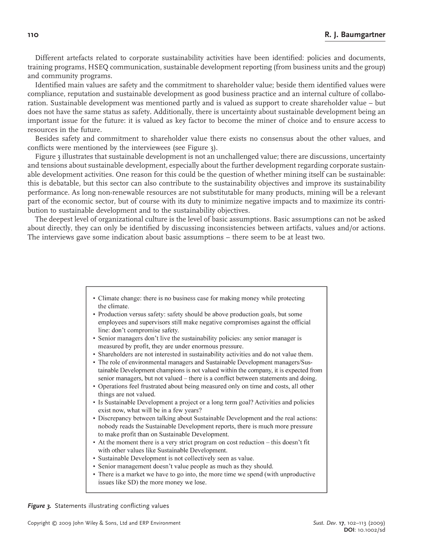Different artefacts related to corporate sustainability activities have been identified: policies and documents, training programs, HSEQ communication, sustainable development reporting (from business units and the group) and community programs.

Identified main values are safety and the commitment to shareholder value; beside them identified values were compliance, reputation and sustainable development as good business practice and an internal culture of collaboration. Sustainable development was mentioned partly and is valued as support to create shareholder value – but does not have the same status as safety. Additionally, there is uncertainty about sustainable development being an important issue for the future: it is valued as key factor to become the miner of choice and to ensure access to resources in the future.

Besides safety and commitment to shareholder value there exists no consensus about the other values, and conflicts were mentioned by the interviewees (see Figure 3).

Figure 3 illustrates that sustainable development is not an unchallenged value; there are discussions, uncertainty and tensions about sustainable development, especially about the further development regarding corporate sustainable development activities. One reason for this could be the question of whether mining itself can be sustainable: this is debatable, but this sector can also contribute to the sustainability objectives and improve its sustainability performance. As long non-renewable resources are not substitutable for many products, mining will be a relevant part of the economic sector, but of course with its duty to minimize negative impacts and to maximize its contribution to sustainable development and to the sustainability objectives.

The deepest level of organizational culture is the level of basic assumptions. Basic assumptions can not be asked about directly, they can only be identified by discussing inconsistencies between artifacts, values and/or actions. The interviews gave some indication about basic assumptions – there seem to be at least two.

- Climate change: there is no business case for making money while protecting the climate.
- Production versus safety: safety should be above production goals, but some employees and supervisors still make negative compromises against the official line: don't compromise safety.
- Senior managers don't live the sustainability policies: any senior manager is measured by profit, they are under enormous pressure.
- Shareholders are not interested in sustainability activities and do not value them.
- The role of environmental managers and Sustainable Development managers/Sustainable Development champions is not valued within the company, it is expected from senior managers, but not valued – there is a conflict between statements and doing.
- Operations feel frustrated about being measured only on time and costs, all other things are not valued.
- Is Sustainable Development a project or a long term goal? Activities and policies exist now, what will be in a few years?
- Discrepancy between talking about Sustainable Development and the real actions: nobody reads the Sustainable Development reports, there is much more pressure to make profit than on Sustainable Development.
- At the moment there is a very strict program on cost reduction this doesn't fit with other values like Sustainable Development.
- Sustainable Development is not collectively seen as value.
- Senior management doesn't value people as much as they should.
- There is a market we have to go into, the more time we spend (with unproductive issues like SD) the more money we lose.

**Figure 3.** Statements illustrating conflicting values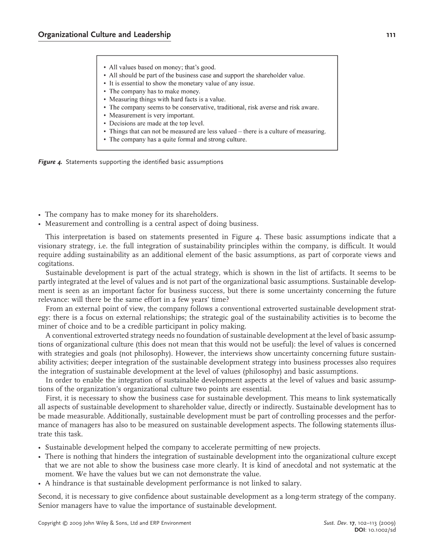- All values based on money; that's good.
- All should be part of the business case and support the shareholder value.
- It is essential to show the monetary value of any issue.
- The company has to make money.
- Measuring things with hard facts is a value.
- The company seems to be conservative, traditional, risk averse and risk aware.
- Measurement is very important.
- Decisions are made at the top level.
- Things that can not be measured are less valued there is a culture of measuring.
- The company has a quite formal and strong culture.

Figure 4. Statements supporting the identified basic assumptions

- The company has to make money for its shareholders.
- Measurement and controlling is a central aspect of doing business.

This interpretation is based on statements presented in Figure 4. These basic assumptions indicate that a visionary strategy, i.e. the full integration of sustainability principles within the company, is difficult. It would require adding sustainability as an additional element of the basic assumptions, as part of corporate views and cogitations.

Sustainable development is part of the actual strategy, which is shown in the list of artifacts. It seems to be partly integrated at the level of values and is not part of the organizational basic assumptions. Sustainable development is seen as an important factor for business success, but there is some uncertainty concerning the future relevance: will there be the same effort in a few years' time?

From an external point of view, the company follows a conventional extroverted sustainable development strategy: there is a focus on external relationships; the strategic goal of the sustainability activities is to become the miner of choice and to be a credible participant in policy making.

A conventional extroverted strategy needs no foundation of sustainable development at the level of basic assumptions of organizational culture (this does not mean that this would not be useful): the level of values is concerned with strategies and goals (not philosophy). However, the interviews show uncertainty concerning future sustainability activities; deeper integration of the sustainable development strategy into business processes also requires the integration of sustainable development at the level of values (philosophy) and basic assumptions.

In order to enable the integration of sustainable development aspects at the level of values and basic assumptions of the organization's organizational culture two points are essential.

First, it is necessary to show the business case for sustainable development. This means to link systematically all aspects of sustainable development to shareholder value, directly or indirectly. Sustainable development has to be made measurable. Additionally, sustainable development must be part of controlling processes and the performance of managers has also to be measured on sustainable development aspects. The following statements illustrate this task.

- Sustainable development helped the company to accelerate permitting of new projects.
- There is nothing that hinders the integration of sustainable development into the organizational culture except that we are not able to show the business case more clearly. It is kind of anecdotal and not systematic at the moment. We have the values but we can not demonstrate the value.
- A hindrance is that sustainable development performance is not linked to salary.

Second, it is necessary to give confidence about sustainable development as a long-term strategy of the company. Senior managers have to value the importance of sustainable development.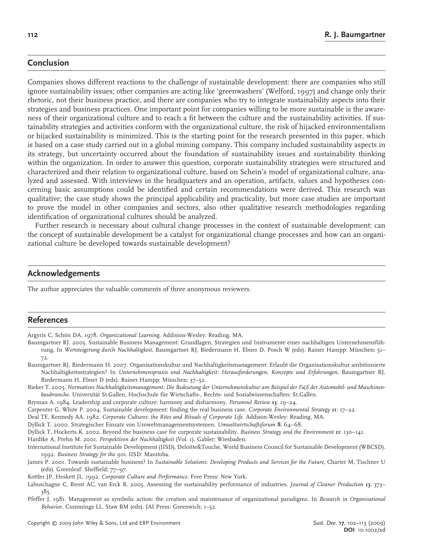# **Conclusion**

Companies shows different reactions to the challenge of sustainable development: there are companies who still ignore sustainability issues; other companies are acting like 'greenwashers' (Welford, 1997) and change only their rhetoric, not their business practice, and there are companies who try to integrate sustainability aspects into their strategies and business practices. One important point for companies willing to be more sustainable is the awareness of their organizational culture and to reach a fit between the culture and the sustainability activities. If sustainability strategies and activities conform with the organizational culture, the risk of hijacked environmentalism or hijacked sustainability is minimized. This is the starting point for the research presented in this paper, which is based on a case study carried out in a global mining company. This company included sustainability aspects in its strategy, but uncertainty occurred about the foundation of sustainability issues and sustainability thinking within the organization. In order to answer this question, corporate sustainability strategies were structured and characterized and their relation to organizational culture, based on Schein's model of organizational culture, analyzed and assessed. With interviews in the headquarters and an operation, artifacts, values and hypotheses concerning basic assumptions could be identified and certain recommendations were derived. This research was qualitative; the case study shows the principal applicability and practicality, but more case studies are important to prove the model in other companies and sectors, also other qualitative research methodologies regarding identification of organizational cultures should be analyzed.

Further research is necessary about cultural change processes in the context of sustainable development: can the concept of sustainable development be a catalyst for organizational change processes and how can an organizational culture be developed towards sustainable development?

# **Acknowledgements**

The author appreciates the valuable comments of three anonymous reviewers.

## **References**

Argyris C, Schön DA. 1978. *Organizational Learning*. Addision-Wesley: Reading, MA.

- Baumgartner RJ. 2005. Sustainable Business Management: Grundlagen, Strategien und Instrumente einer nachhaltigen Unternehmensführung. In *Wertsteigerung durch Nachhaltigkeit*, Baumgartner RJ, Biedermann H, Ebner D, Posch W (eds). Rainer Hampp: München; 51– 72.
- Baumgartner RJ, Biedermann H. 2007. Organisationskultur und Nachhaltigkeitsmanagement: Erlaubt die Organisationskultur ambitionierte Nachhaltigkeitsstrategien? In *Unternehmenspraxis und Nachhaltigkeit: Herausforderungen, Konzepte und Erfahrungen*, Baumgartner RJ, Biedermann H, Ebner D (eds). Rainer Hampp: München; 37–52.
- Bieker T. 2005. *Normatives Nachhaltigkeitsmanagement: Die Bedeutung der Unternehmenskultur am Beispiel der F&E der Automobil- und Maschinenbaubranche.* Universität St.Gallen, Hochschule für Wirtschafts-, Rechts- und Sozialwissenschaften: St.Gallen.

Bryman A. 1984. Leadership and corporate culture: harmony and disharmony. *Personnel Review* **13**: 19–24.

Carpenter G, White P. 2004. Sustainable development: finding the real business case. *Corporate Environmental Strategy* **11**: 17–22.

Deal TE, Kennedy AA. 1982. *Corporate Cultures: the Rites and Rituals of Corporate Life*. Addison-Wesley: Reading, MA.

Dyllick T. 2000. Strategischer Einsatz von Umweltmanagementsystemen. *Umweltwirtschaftsforum* **8**: 64–68.

Dyllick T, Hockerts K. 2002. Beyond the business case for corporate sustainability. *Business Strategy and the Environment* **11**: 130–141.

Hardtke A, Prehn M. 2001. *Perspektiven der Nachhaltigkeit* (Vol. 1). Gabler: Wiesbaden.

International Institute for Sustainable Development (IISD), Deloitte&Touche, World Business Council for Sustainable Development (WBCSD). 1992. *Business Strategy for the 90s*. IISD: Manitoba.

James P. 2001. Towards sustainable business? In *Sustainable Solutions: Developing Products and Services for the Future*, Charter M, Tischner U (eds). Greenleaf: Sheffield; 77–97.

Kottler JP, Heskett JL. 1992. *Corporate Culture and Performance*. Free Press: New York.

Pfeffer J. 1981. Management as symbolic action: the creation and maintenance of organizational paradigms. In *Research in Organisational Behavior*, Cummings LL, Staw BM (eds). JAI Press: Greenwich; 1–52.

Labuschagne C, Brent AC, van Erck R. 2005. Assessing the sustainability performance of industries. *Journal of Cleaner Production* **13**: 373– 385.